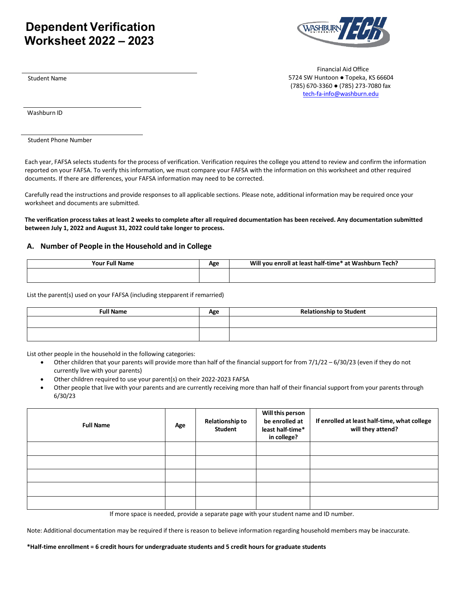# **Dependent Verification Worksheet 2022 – 2023**



Student Name

 Financial Aid Office 5724 SW Huntoon ● Topeka, KS 66604 (785) 670-3360 ● (785) 273-7080 fax [tech-fa-info@washburn.edu](mailto:tech-fa-info@washburn.edu)

Washburn ID

Student Phone Number

Each year, FAFSA selects students for the process of verification. Verification requires the college you attend to review and confirm the information reported on your FAFSA. To verify this information, we must compare your FAFSA with the information on this worksheet and other required documents. If there are differences, your FAFSA information may need to be corrected.

Carefully read the instructions and provide responses to all applicable sections. Please note, additional information may be required once your worksheet and documents are submitted.

**The verification process takes at least 2 weeks to complete after all required documentation has been received. Any documentation submitted between July 1, 2022 and August 31, 2022 could take longer to process.**

#### **A. Number of People in the Household and in College**

| <b>Your Full Name</b> | Δσe<br>-53 | Will<br>' at Washburn Tech?<br>u vou enroll at least half-time* |
|-----------------------|------------|-----------------------------------------------------------------|
|                       |            |                                                                 |

List the parent(s) used on your FAFSA (including stepparent if remarried)

| Full Name | Age | <b>Relationship to Student</b> |
|-----------|-----|--------------------------------|
|           |     |                                |
|           |     |                                |

List other people in the household in the following categories:

- Other children that your parents will provide more than half of the financial support for from 7/1/22 6/30/23 (even if they do not currently live with your parents)
- Other children required to use your parent(s) on their 2022-2023 FAFSA
- Other people that live with your parents and are currently receiving more than half of their financial support from your parents through 6/30/23

| <b>Full Name</b> | Age | <b>Relationship to</b><br><b>Student</b> | Will this person<br>be enrolled at<br>least half-time*<br>in college? | If enrolled at least half-time, what college<br>will they attend? |
|------------------|-----|------------------------------------------|-----------------------------------------------------------------------|-------------------------------------------------------------------|
|                  |     |                                          |                                                                       |                                                                   |
|                  |     |                                          |                                                                       |                                                                   |
|                  |     |                                          |                                                                       |                                                                   |
|                  |     |                                          |                                                                       |                                                                   |
|                  |     |                                          |                                                                       |                                                                   |

If more space is needed, provide a separate page with your student name and ID number.

Note: Additional documentation may be required if there is reason to believe information regarding household members may be inaccurate.

**\*Half-time enrollment = 6 credit hours for undergraduate students and 5 credit hours for graduate students**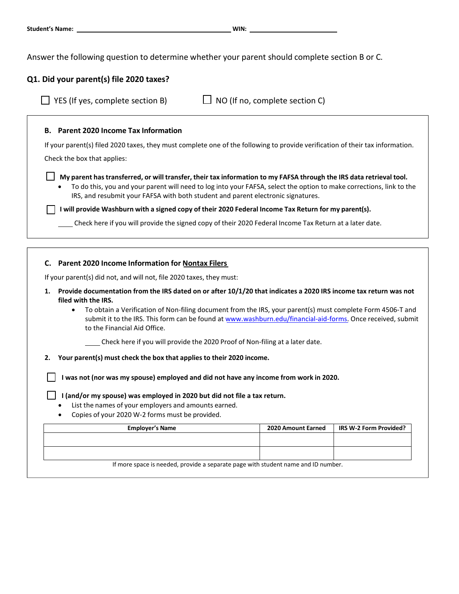Answer the following question to determine whether your parent should complete section B or C.

# **Q1. Did your parent(s) file 2020 taxes?**

| YES (If yes, complete section B)                                                                                                                                                                                                                                                                                                | $\Box$ NO (If no, complete section C) |                        |
|---------------------------------------------------------------------------------------------------------------------------------------------------------------------------------------------------------------------------------------------------------------------------------------------------------------------------------|---------------------------------------|------------------------|
| <b>B.</b> Parent 2020 Income Tax Information                                                                                                                                                                                                                                                                                    |                                       |                        |
| If your parent(s) filed 2020 taxes, they must complete one of the following to provide verification of their tax information.                                                                                                                                                                                                   |                                       |                        |
| Check the box that applies:                                                                                                                                                                                                                                                                                                     |                                       |                        |
| My parent has transferred, or will transfer, their tax information to my FAFSA through the IRS data retrieval tool.<br>To do this, you and your parent will need to log into your FAFSA, select the option to make corrections, link to the<br>IRS, and resubmit your FAFSA with both student and parent electronic signatures. |                                       |                        |
| I will provide Washburn with a signed copy of their 2020 Federal Income Tax Return for my parent(s).                                                                                                                                                                                                                            |                                       |                        |
| Check here if you will provide the signed copy of their 2020 Federal Income Tax Return at a later date.                                                                                                                                                                                                                         |                                       |                        |
|                                                                                                                                                                                                                                                                                                                                 |                                       |                        |
| C. Parent 2020 Income Information for Nontax Filers                                                                                                                                                                                                                                                                             |                                       |                        |
| If your parent(s) did not, and will not, file 2020 taxes, they must:                                                                                                                                                                                                                                                            |                                       |                        |
| Provide documentation from the IRS dated on or after 10/1/20 that indicates a 2020 IRS income tax return was not<br>1.<br>filed with the IRS.                                                                                                                                                                                   |                                       |                        |
| To obtain a Verification of Non-filing document from the IRS, your parent(s) must complete Form 4506-T and<br>$\bullet$<br>submit it to the IRS. This form can be found at www.washburn.edu/financial-aid-forms. Once received, submit<br>to the Financial Aid Office.                                                          |                                       |                        |
| Check here if you will provide the 2020 Proof of Non-filing at a later date.                                                                                                                                                                                                                                                    |                                       |                        |
| Your parent(s) must check the box that applies to their 2020 income.<br>2.                                                                                                                                                                                                                                                      |                                       |                        |
| I was not (nor was my spouse) employed and did not have any income from work in 2020.                                                                                                                                                                                                                                           |                                       |                        |
| I (and/or my spouse) was employed in 2020 but did not file a tax return.<br>List the names of your employers and amounts earned.<br>Copies of your 2020 W-2 forms must be provided.                                                                                                                                             |                                       |                        |
| <b>Employer's Name</b>                                                                                                                                                                                                                                                                                                          | 2020 Amount Earned                    | IRS W-2 Form Provided? |
|                                                                                                                                                                                                                                                                                                                                 |                                       |                        |
|                                                                                                                                                                                                                                                                                                                                 |                                       |                        |

If more space is needed, provide a separate page with student name and ID number.